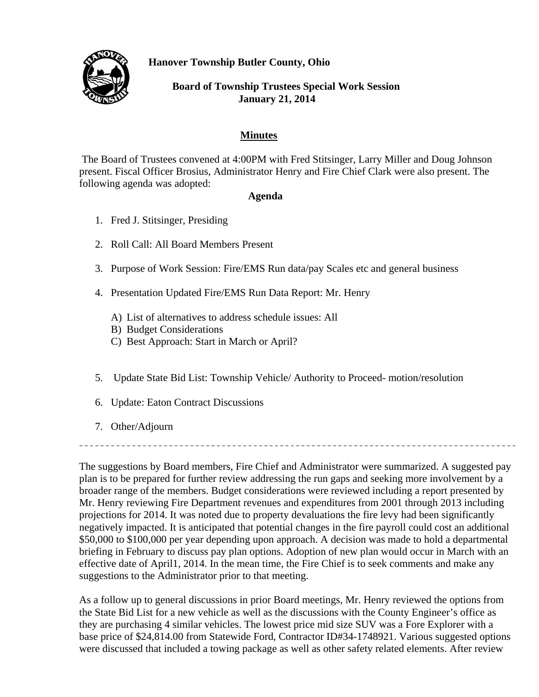**Hanover Township Butler County, Ohio** 



 **Board of Township Trustees Special Work Session January 21, 2014**

## **Minutes**

 The Board of Trustees convened at 4:00PM with Fred Stitsinger, Larry Miller and Doug Johnson present. Fiscal Officer Brosius, Administrator Henry and Fire Chief Clark were also present. The following agenda was adopted:

## **Agenda**

- 1. Fred J. Stitsinger, Presiding
- 2. Roll Call: All Board Members Present
- 3. Purpose of Work Session: Fire/EMS Run data/pay Scales etc and general business
- 4. Presentation Updated Fire/EMS Run Data Report: Mr. Henry
	- A) List of alternatives to address schedule issues: All
	- B) Budget Considerations
	- C) Best Approach: Start in March or April?
- 5. Update State Bid List: Township Vehicle/ Authority to Proceed- motion/resolution
- 6. Update: Eaton Contract Discussions
- 7. Other/Adjourn

The suggestions by Board members, Fire Chief and Administrator were summarized. A suggested pay plan is to be prepared for further review addressing the run gaps and seeking more involvement by a broader range of the members. Budget considerations were reviewed including a report presented by Mr. Henry reviewing Fire Department revenues and expenditures from 2001 through 2013 including projections for 2014. It was noted due to property devaluations the fire levy had been significantly negatively impacted. It is anticipated that potential changes in the fire payroll could cost an additional \$50,000 to \$100,000 per year depending upon approach. A decision was made to hold a departmental briefing in February to discuss pay plan options. Adoption of new plan would occur in March with an effective date of April1, 2014. In the mean time, the Fire Chief is to seek comments and make any suggestions to the Administrator prior to that meeting.

As a follow up to general discussions in prior Board meetings, Mr. Henry reviewed the options from the State Bid List for a new vehicle as well as the discussions with the County Engineer's office as they are purchasing 4 similar vehicles. The lowest price mid size SUV was a Fore Explorer with a base price of \$24,814.00 from Statewide Ford, Contractor ID#34-1748921. Various suggested options were discussed that included a towing package as well as other safety related elements. After review